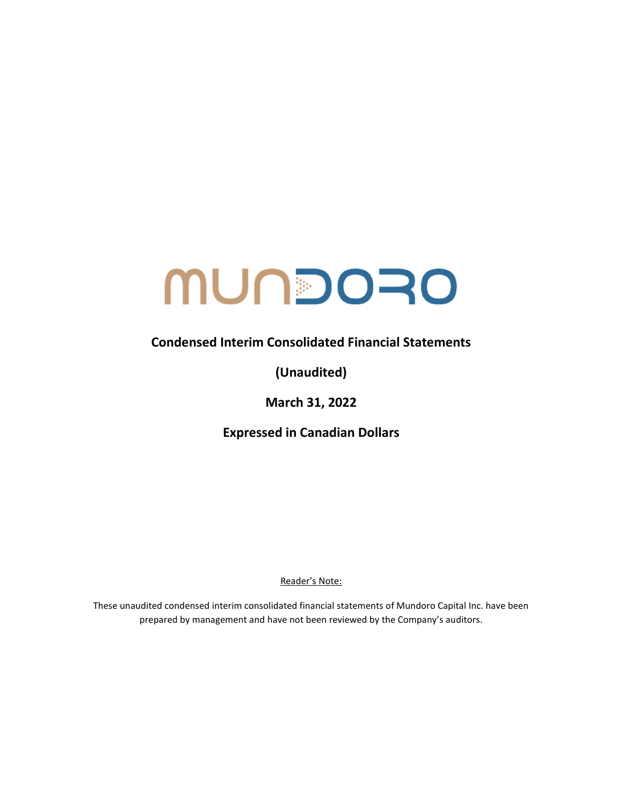# MUNDORO

# Condensed Interim Consolidated Financial Statements

(Unaudited)

March 31, 2022

Expressed in Canadian Dollars

Reader's Note:

These unaudited condensed interim consolidated financial statements of Mundoro Capital Inc. have been prepared by management and have not been reviewed by the Company's auditors.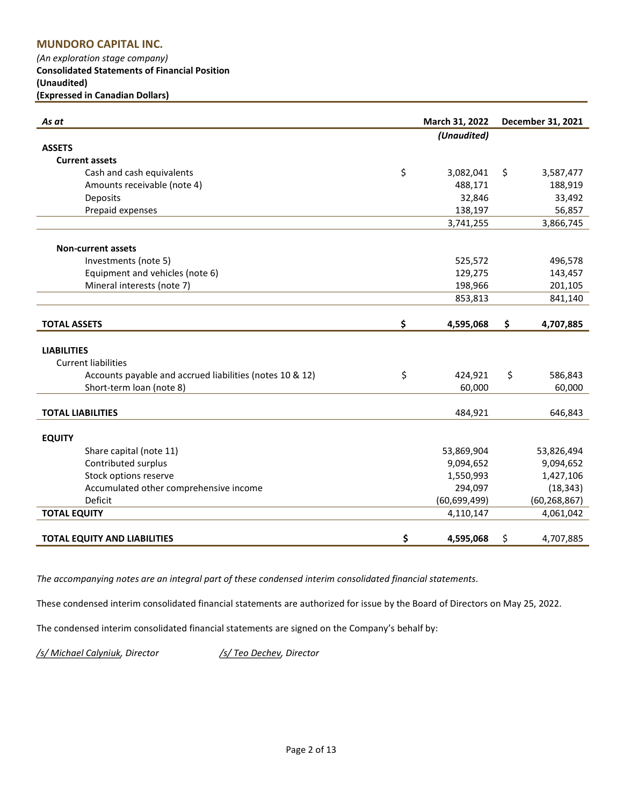(An exploration stage company)

### Consolidated Statements of Financial Position

(Unaudited)

(Expressed in Canadian Dollars)

| As at                                                    | March 31, 2022  | December 31, 2021 |                |  |
|----------------------------------------------------------|-----------------|-------------------|----------------|--|
|                                                          | (Unaudited)     |                   |                |  |
| <b>ASSETS</b>                                            |                 |                   |                |  |
| <b>Current assets</b>                                    |                 |                   |                |  |
| Cash and cash equivalents                                | \$<br>3,082,041 | \$                | 3,587,477      |  |
| Amounts receivable (note 4)                              | 488,171         |                   | 188,919        |  |
| Deposits                                                 | 32,846          |                   | 33,492         |  |
| Prepaid expenses                                         | 138,197         |                   | 56,857         |  |
|                                                          | 3,741,255       |                   | 3,866,745      |  |
| <b>Non-current assets</b>                                |                 |                   |                |  |
| Investments (note 5)                                     | 525,572         |                   | 496,578        |  |
| Equipment and vehicles (note 6)                          | 129,275         |                   | 143,457        |  |
| Mineral interests (note 7)                               | 198,966         |                   | 201,105        |  |
|                                                          | 853,813         |                   | 841,140        |  |
| <b>TOTAL ASSETS</b>                                      | \$<br>4,595,068 | \$                | 4,707,885      |  |
| <b>LIABILITIES</b>                                       |                 |                   |                |  |
| <b>Current liabilities</b>                               |                 |                   |                |  |
| Accounts payable and accrued liabilities (notes 10 & 12) | \$<br>424,921   | \$                | 586,843        |  |
| Short-term loan (note 8)                                 | 60,000          |                   | 60,000         |  |
| <b>TOTAL LIABILITIES</b>                                 | 484,921         |                   | 646,843        |  |
|                                                          |                 |                   |                |  |
| <b>EQUITY</b>                                            |                 |                   |                |  |
| Share capital (note 11)                                  | 53,869,904      |                   | 53,826,494     |  |
| Contributed surplus                                      | 9,094,652       |                   | 9,094,652      |  |
| Stock options reserve                                    | 1,550,993       |                   | 1,427,106      |  |
| Accumulated other comprehensive income                   | 294,097         |                   | (18, 343)      |  |
| Deficit                                                  | (60, 699, 499)  |                   | (60, 268, 867) |  |
| <b>TOTAL EQUITY</b>                                      | 4,110,147       |                   | 4,061,042      |  |
| <b>TOTAL EQUITY AND LIABILITIES</b>                      | \$<br>4,595,068 | \$                | 4,707,885      |  |

The accompanying notes are an integral part of these condensed interim consolidated financial statements.

These condensed interim consolidated financial statements are authorized for issue by the Board of Directors on May 25, 2022.

The condensed interim consolidated financial statements are signed on the Company's behalf by:

/s/ Michael Calyniuk, Director /s/ Teo Dechev, Director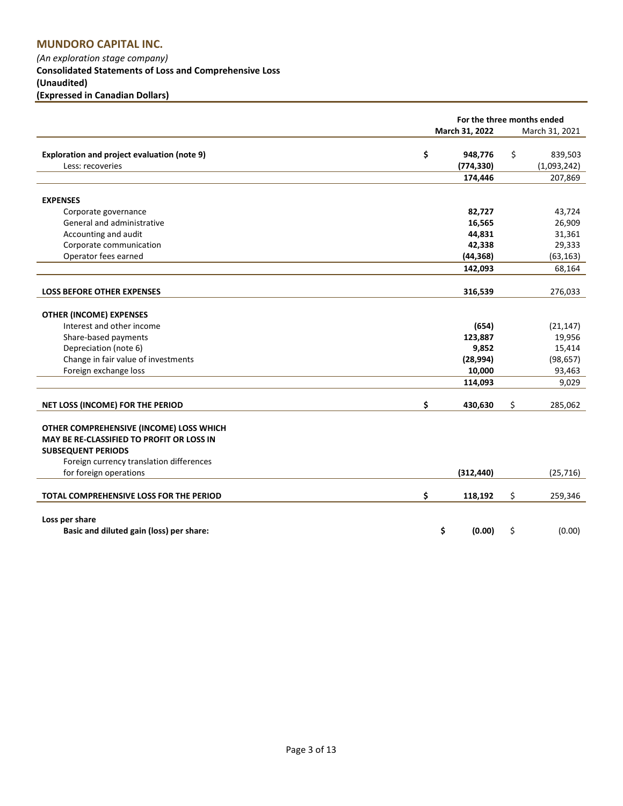(An exploration stage company) Consolidated Statements of Loss and Comprehensive Loss (Unaudited) (Expressed in Canadian Dollars)

|                                                  | For the three months ended |    |                |  |  |  |
|--------------------------------------------------|----------------------------|----|----------------|--|--|--|
|                                                  | March 31, 2022             |    | March 31, 2021 |  |  |  |
|                                                  |                            |    |                |  |  |  |
| Exploration and project evaluation (note 9)      | \$<br>948,776              | \$ | 839,503        |  |  |  |
| Less: recoveries                                 | (774, 330)                 |    | (1,093,242)    |  |  |  |
|                                                  | 174,446                    |    | 207,869        |  |  |  |
| <b>EXPENSES</b>                                  |                            |    |                |  |  |  |
| Corporate governance                             | 82,727                     |    | 43,724         |  |  |  |
| General and administrative                       | 16,565                     |    | 26,909         |  |  |  |
| Accounting and audit                             | 44,831                     |    | 31,361         |  |  |  |
| Corporate communication                          | 42,338                     |    | 29,333         |  |  |  |
| Operator fees earned                             | (44, 368)                  |    | (63, 163)      |  |  |  |
|                                                  | 142,093                    |    | 68,164         |  |  |  |
|                                                  |                            |    |                |  |  |  |
| <b>LOSS BEFORE OTHER EXPENSES</b>                | 316,539                    |    | 276,033        |  |  |  |
| <b>OTHER (INCOME) EXPENSES</b>                   |                            |    |                |  |  |  |
| Interest and other income                        | (654)                      |    | (21, 147)      |  |  |  |
| Share-based payments                             | 123,887                    |    | 19,956         |  |  |  |
| Depreciation (note 6)                            | 9,852                      |    | 15,414         |  |  |  |
| Change in fair value of investments              | (28, 994)                  |    | (98, 657)      |  |  |  |
| Foreign exchange loss                            | 10,000                     |    | 93,463         |  |  |  |
|                                                  | 114,093                    |    | 9,029          |  |  |  |
| NET LOSS (INCOME) FOR THE PERIOD                 | \$<br>430,630              | \$ | 285,062        |  |  |  |
|                                                  |                            |    |                |  |  |  |
| OTHER COMPREHENSIVE (INCOME) LOSS WHICH          |                            |    |                |  |  |  |
| <b>MAY BE RE-CLASSIFIED TO PROFIT OR LOSS IN</b> |                            |    |                |  |  |  |
| <b>SUBSEQUENT PERIODS</b>                        |                            |    |                |  |  |  |
| Foreign currency translation differences         |                            |    |                |  |  |  |
| for foreign operations                           | (312, 440)                 |    | (25, 716)      |  |  |  |
| TOTAL COMPREHENSIVE LOSS FOR THE PERIOD          | \$<br>118,192              | \$ | 259,346        |  |  |  |
|                                                  |                            |    |                |  |  |  |
| Loss per share                                   |                            |    |                |  |  |  |
| Basic and diluted gain (loss) per share:         | \$<br>(0.00)               | \$ | (0.00)         |  |  |  |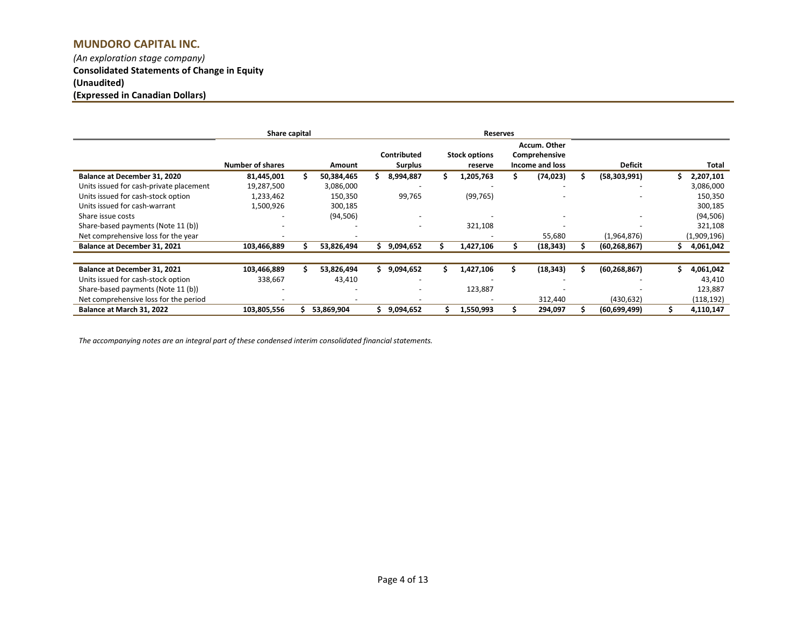# (An exploration stage company) Consolidated Statements of Change in Equity (Unaudited) (Expressed in Canadian Dollars)

|                                         | Share capital<br><b>Reserves</b> |    |            |    |                |     |                      |     |                 |                |  |             |
|-----------------------------------------|----------------------------------|----|------------|----|----------------|-----|----------------------|-----|-----------------|----------------|--|-------------|
|                                         |                                  |    |            |    |                |     |                      |     | Accum. Other    |                |  |             |
|                                         |                                  |    |            |    | Contributed    |     | <b>Stock options</b> |     | Comprehensive   |                |  |             |
|                                         | <b>Number of shares</b>          |    | Amount     |    | <b>Surplus</b> |     | reserve              |     | Income and loss | <b>Deficit</b> |  | Total       |
| Balance at December 31, 2020            | 81,445,001                       | Ś. | 50,384,465 |    | 8,994,887      | \$. | 1,205,763            | \$. | (74, 023)       | (58, 303, 991) |  | 2,207,101   |
| Units issued for cash-private placement | 19,287,500                       |    | 3,086,000  |    |                |     |                      |     |                 |                |  | 3,086,000   |
| Units issued for cash-stock option      | 1,233,462                        |    | 150,350    |    | 99,765         |     | (99, 765)            |     |                 |                |  | 150,350     |
| Units issued for cash-warrant           | 1,500,926                        |    | 300,185    |    |                |     |                      |     |                 |                |  | 300,185     |
| Share issue costs                       |                                  |    | (94, 506)  |    |                |     |                      |     |                 |                |  | (94, 506)   |
| Share-based payments (Note 11 (b))      |                                  |    |            |    |                |     | 321,108              |     |                 |                |  | 321,108     |
| Net comprehensive loss for the year     |                                  |    |            |    |                |     |                      |     | 55,680          | (1,964,876)    |  | (1,909,196) |
| Balance at December 31, 2021            | 103,466,889                      |    | 53,826,494 |    | 9,094,652      |     | 1,427,106            |     | (18, 343)       | (60, 268, 867) |  | 4,061,042   |
|                                         |                                  |    |            |    |                |     |                      |     |                 |                |  |             |
| Balance at December 31, 2021            | 103,466,889                      |    | 53,826,494 | Ś. | 9,094,652      |     | ,427,106             |     | (18, 343)       | (60, 268, 867) |  | 4,061,042   |
| Units issued for cash-stock option      | 338,667                          |    | 43,410     |    |                |     |                      |     |                 |                |  | 43,410      |
| Share-based payments (Note 11 (b))      |                                  |    |            |    |                |     | 123,887              |     |                 |                |  | 123,887     |
| Net comprehensive loss for the period   |                                  |    |            |    |                |     |                      |     | 312,440         | (430, 632)     |  | (118, 192)  |
| Balance at March 31, 2022               | 103,805,556                      |    | 53,869,904 |    | 9,094,652      |     | 1,550,993            |     | 294,097         | (60, 699, 499) |  | 4,110,147   |

The accompanying notes are an integral part of these condensed interim consolidated financial statements.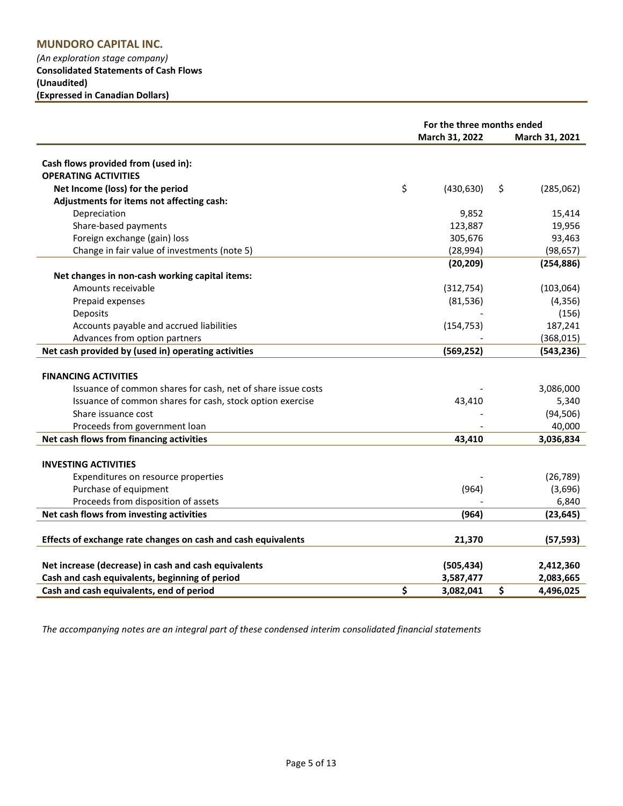(An exploration stage company) Consolidated Statements of Cash Flows (Unaudited) (Expressed in Canadian Dollars)

|                                                               | For the three months ended |    |                |  |  |  |
|---------------------------------------------------------------|----------------------------|----|----------------|--|--|--|
|                                                               | March 31, 2022             |    | March 31, 2021 |  |  |  |
|                                                               |                            |    |                |  |  |  |
| Cash flows provided from (used in):                           |                            |    |                |  |  |  |
| <b>OPERATING ACTIVITIES</b>                                   |                            |    |                |  |  |  |
| Net Income (loss) for the period                              | \$<br>(430, 630)           | Ş. | (285,062)      |  |  |  |
| Adjustments for items not affecting cash:                     |                            |    |                |  |  |  |
| Depreciation                                                  | 9,852                      |    | 15,414         |  |  |  |
| Share-based payments                                          | 123,887                    |    | 19,956         |  |  |  |
| Foreign exchange (gain) loss                                  | 305,676                    |    | 93,463         |  |  |  |
| Change in fair value of investments (note 5)                  | (28, 994)                  |    | (98, 657)      |  |  |  |
|                                                               | (20, 209)                  |    | (254, 886)     |  |  |  |
| Net changes in non-cash working capital items:                |                            |    |                |  |  |  |
| Amounts receivable                                            | (312, 754)                 |    | (103,064)      |  |  |  |
| Prepaid expenses                                              | (81, 536)                  |    | (4, 356)       |  |  |  |
| Deposits                                                      |                            |    | (156)          |  |  |  |
| Accounts payable and accrued liabilities                      | (154, 753)                 |    | 187,241        |  |  |  |
| Advances from option partners                                 |                            |    | (368, 015)     |  |  |  |
| Net cash provided by (used in) operating activities           | (569, 252)                 |    | (543, 236)     |  |  |  |
| <b>FINANCING ACTIVITIES</b>                                   |                            |    |                |  |  |  |
| Issuance of common shares for cash, net of share issue costs  |                            |    | 3,086,000      |  |  |  |
| Issuance of common shares for cash, stock option exercise     | 43,410                     |    | 5,340          |  |  |  |
| Share issuance cost                                           |                            |    | (94, 506)      |  |  |  |
| Proceeds from government loan                                 |                            |    | 40,000         |  |  |  |
| Net cash flows from financing activities                      | 43,410                     |    | 3,036,834      |  |  |  |
|                                                               |                            |    |                |  |  |  |
| <b>INVESTING ACTIVITIES</b>                                   |                            |    |                |  |  |  |
| Expenditures on resource properties                           |                            |    | (26, 789)      |  |  |  |
| Purchase of equipment                                         | (964)                      |    | (3,696)        |  |  |  |
| Proceeds from disposition of assets                           |                            |    | 6,840          |  |  |  |
| Net cash flows from investing activities                      | (964)                      |    | (23, 645)      |  |  |  |
|                                                               |                            |    |                |  |  |  |
| Effects of exchange rate changes on cash and cash equivalents | 21,370                     |    | (57, 593)      |  |  |  |
|                                                               |                            |    |                |  |  |  |
| Net increase (decrease) in cash and cash equivalents          | (505, 434)                 |    | 2,412,360      |  |  |  |
| Cash and cash equivalents, beginning of period                | 3,587,477                  |    | 2,083,665      |  |  |  |
| Cash and cash equivalents, end of period                      | \$<br>3,082,041            | \$ | 4,496,025      |  |  |  |

The accompanying notes are an integral part of these condensed interim consolidated financial statements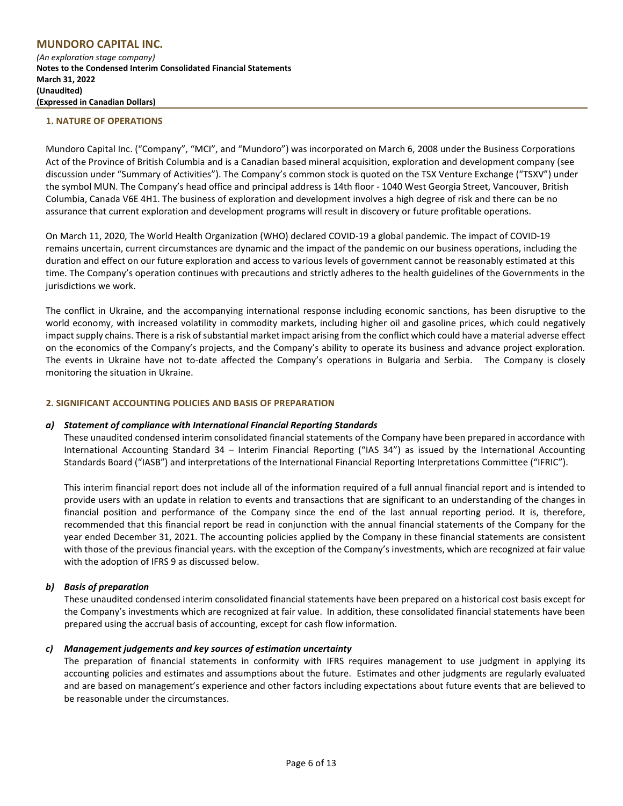### 1. NATURE OF OPERATIONS

Mundoro Capital Inc. ("Company", "MCI", and "Mundoro") was incorporated on March 6, 2008 under the Business Corporations Act of the Province of British Columbia and is a Canadian based mineral acquisition, exploration and development company (see discussion under "Summary of Activities"). The Company's common stock is quoted on the TSX Venture Exchange ("TSXV") under the symbol MUN. The Company's head office and principal address is 14th floor - 1040 West Georgia Street, Vancouver, British Columbia, Canada V6E 4H1. The business of exploration and development involves a high degree of risk and there can be no assurance that current exploration and development programs will result in discovery or future profitable operations.

On March 11, 2020, The World Health Organization (WHO) declared COVID-19 a global pandemic. The impact of COVID-19 remains uncertain, current circumstances are dynamic and the impact of the pandemic on our business operations, including the duration and effect on our future exploration and access to various levels of government cannot be reasonably estimated at this time. The Company's operation continues with precautions and strictly adheres to the health guidelines of the Governments in the jurisdictions we work.

The conflict in Ukraine, and the accompanying international response including economic sanctions, has been disruptive to the world economy, with increased volatility in commodity markets, including higher oil and gasoline prices, which could negatively impact supply chains. There is a risk of substantial market impact arising from the conflict which could have a material adverse effect on the economics of the Company's projects, and the Company's ability to operate its business and advance project exploration. The events in Ukraine have not to-date affected the Company's operations in Bulgaria and Serbia. The Company is closely monitoring the situation in Ukraine.

### 2. SIGNIFICANT ACCOUNTING POLICIES AND BASIS OF PREPARATION

### a) Statement of compliance with International Financial Reporting Standards

These unaudited condensed interim consolidated financial statements of the Company have been prepared in accordance with International Accounting Standard 34 – Interim Financial Reporting ("IAS 34") as issued by the International Accounting Standards Board ("IASB") and interpretations of the International Financial Reporting Interpretations Committee ("IFRIC").

This interim financial report does not include all of the information required of a full annual financial report and is intended to provide users with an update in relation to events and transactions that are significant to an understanding of the changes in financial position and performance of the Company since the end of the last annual reporting period. It is, therefore, recommended that this financial report be read in conjunction with the annual financial statements of the Company for the year ended December 31, 2021. The accounting policies applied by the Company in these financial statements are consistent with those of the previous financial years. with the exception of the Company's investments, which are recognized at fair value with the adoption of IFRS 9 as discussed below.

### b) Basis of preparation

These unaudited condensed interim consolidated financial statements have been prepared on a historical cost basis except for the Company's investments which are recognized at fair value. In addition, these consolidated financial statements have been prepared using the accrual basis of accounting, except for cash flow information.

### c) Management judgements and key sources of estimation uncertainty

The preparation of financial statements in conformity with IFRS requires management to use judgment in applying its accounting policies and estimates and assumptions about the future. Estimates and other judgments are regularly evaluated and are based on management's experience and other factors including expectations about future events that are believed to be reasonable under the circumstances.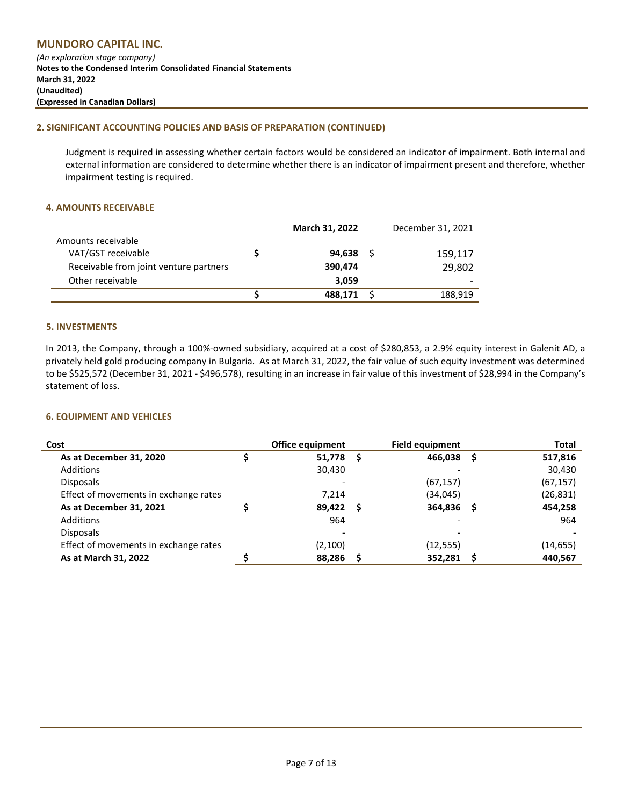### 2. SIGNIFICANT ACCOUNTING POLICIES AND BASIS OF PREPARATION (CONTINUED)

Judgment is required in assessing whether certain factors would be considered an indicator of impairment. Both internal and external information are considered to determine whether there is an indicator of impairment present and therefore, whether impairment testing is required.

### 4. AMOUNTS RECEIVABLE

|                                        | March 31, 2022 | December 31, 2021 |
|----------------------------------------|----------------|-------------------|
| Amounts receivable                     |                |                   |
| VAT/GST receivable                     | 94,638         | 159,117           |
| Receivable from joint venture partners | 390,474        | 29,802            |
| Other receivable                       | 3.059          |                   |
|                                        | 488,171        | 188,919           |

### 5. INVESTMENTS

In 2013, the Company, through a 100%-owned subsidiary, acquired at a cost of \$280,853, a 2.9% equity interest in Galenit AD, a privately held gold producing company in Bulgaria. As at March 31, 2022, the fair value of such equity investment was determined to be \$525,572 (December 31, 2021 - \$496,578), resulting in an increase in fair value of this investment of \$28,994 in the Company's statement of loss.

### 6. EQUIPMENT AND VEHICLES

| Cost                                  | <b>Office equipment</b> |     | <b>Field equipment</b> |     | <b>Total</b> |
|---------------------------------------|-------------------------|-----|------------------------|-----|--------------|
| As at December 31, 2020               | 51,778                  | - S | 466,038                |     | 517,816      |
| <b>Additions</b>                      | 30,430                  |     |                        |     | 30,430       |
| <b>Disposals</b>                      |                         |     | (67, 157)              |     | (67, 157)    |
| Effect of movements in exchange rates | 7.214                   |     | (34, 045)              |     | (26, 831)    |
| As at December 31, 2021               | 89,422                  | - S | 364,836                | - S | 454,258      |
| Additions                             | 964                     |     |                        |     | 964          |
| <b>Disposals</b>                      |                         |     |                        |     |              |
| Effect of movements in exchange rates | (2,100)                 |     | (12, 555)              |     | (14, 655)    |
| As at March 31, 2022                  | 88,286                  |     | 352,281                |     | 440.567      |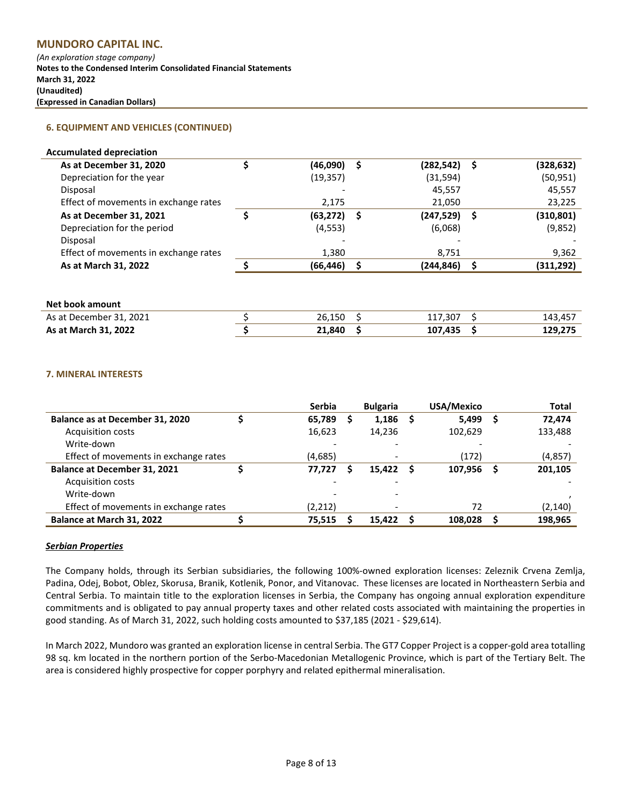(An exploration stage company) Notes to the Condensed Interim Consolidated Financial Statements March 31, 2022 (Unaudited) (Expressed in Canadian Dollars)

### 6. EQUIPMENT AND VEHICLES (CONTINUED)

| <b>Accumulated depreciation</b>       |           |    |            |      |            |
|---------------------------------------|-----------|----|------------|------|------------|
| As at December 31, 2020               | (46,090)  | S  | (282, 542) | - S  | (328, 632) |
| Depreciation for the year             | (19, 357) |    | (31, 594)  |      | (50, 951)  |
| Disposal                              |           |    | 45,557     |      | 45,557     |
| Effect of movements in exchange rates | 2,175     |    | 21,050     |      | 23,225     |
| As at December 31, 2021               | (63, 272) | -S | (247, 529) | - \$ | (310, 801) |
| Depreciation for the period           | (4, 553)  |    | (6,068)    |      | (9,852)    |
| Disposal                              |           |    |            |      |            |
| Effect of movements in exchange rates | 1,380     |    | 8,751      |      | 9,362      |
| As at March 31, 2022                  | (66, 446) |    | (244, 846) |      | (311, 292) |
|                                       |           |    |            |      |            |

### Net book amount

| As at December 31, 2021 | 26,150 | 117.307 | 143.457 |
|-------------------------|--------|---------|---------|
| As at March 31, 2022    | 21,840 | 107,435 | 129,275 |

### 7. MINERAL INTERESTS

|                                       | <b>Serbia</b> | <b>Bulgaria</b> |    | USA/Mexico | <b>Total</b> |
|---------------------------------------|---------------|-----------------|----|------------|--------------|
| Balance as at December 31, 2020       | 65,789        | 1,186           | S  | 5,499      | 72,474       |
| <b>Acquisition costs</b>              | 16,623        | 14,236          |    | 102,629    | 133,488      |
| Write-down                            |               |                 |    |            |              |
| Effect of movements in exchange rates | (4,685)       | -               |    | (172)      | (4,857)      |
| <b>Balance at December 31, 2021</b>   | 77.727        | 15,422          | -S | 107.956    | 201,105      |
| <b>Acquisition costs</b>              |               |                 |    |            |              |
| Write-down                            |               |                 |    |            |              |
| Effect of movements in exchange rates | (2,212)       |                 |    | 72         | (2, 140)     |
| Balance at March 31, 2022             | 75.515        | 15.422          |    | 108.028    | 198,965      |

### Serbian Properties

The Company holds, through its Serbian subsidiaries, the following 100%-owned exploration licenses: Zeleznik Crvena Zemlja, Padina, Odej, Bobot, Oblez, Skorusa, Branik, Kotlenik, Ponor, and Vitanovac. These licenses are located in Northeastern Serbia and Central Serbia. To maintain title to the exploration licenses in Serbia, the Company has ongoing annual exploration expenditure commitments and is obligated to pay annual property taxes and other related costs associated with maintaining the properties in good standing. As of March 31, 2022, such holding costs amounted to \$37,185 (2021 - \$29,614).

In March 2022, Mundoro was granted an exploration license in central Serbia. The GT7 Copper Project is a copper-gold area totalling 98 sq. km located in the northern portion of the Serbo-Macedonian Metallogenic Province, which is part of the Tertiary Belt. The area is considered highly prospective for copper porphyry and related epithermal mineralisation.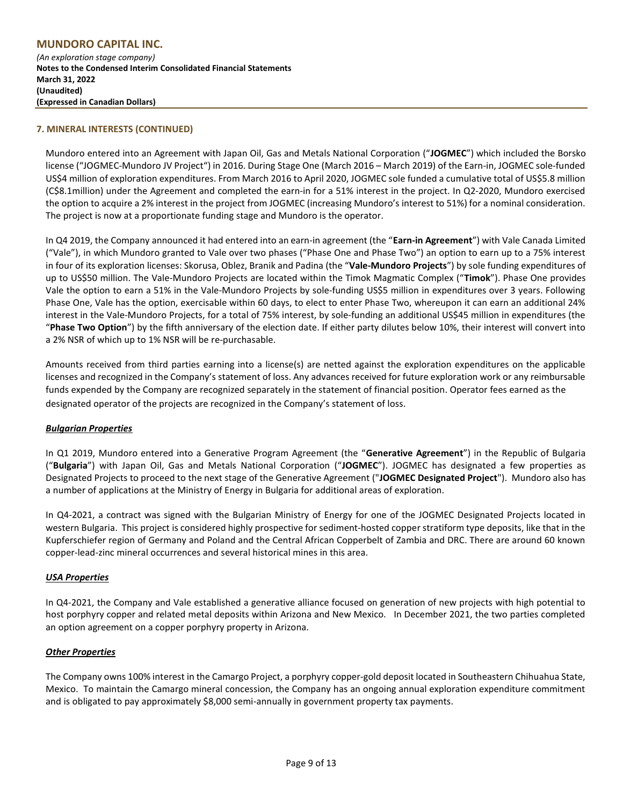### 7. MINERAL INTERESTS (CONTINUED)

Mundoro entered into an Agreement with Japan Oil, Gas and Metals National Corporation ("JOGMEC") which included the Borsko license ("JOGMEC-Mundoro JV Project") in 2016. During Stage One (March 2016 – March 2019) of the Earn-in, JOGMEC sole-funded US\$4 million of exploration expenditures. From March 2016 to April 2020, JOGMEC sole funded a cumulative total of US\$5.8 million (C\$8.1million) under the Agreement and completed the earn-in for a 51% interest in the project. In Q2-2020, Mundoro exercised the option to acquire a 2% interest in the project from JOGMEC (increasing Mundoro's interest to 51%) for a nominal consideration. The project is now at a proportionate funding stage and Mundoro is the operator.

In Q4 2019, the Company announced it had entered into an earn-in agreement (the "Earn-in Agreement") with Vale Canada Limited ("Vale"), in which Mundoro granted to Vale over two phases ("Phase One and Phase Two") an option to earn up to a 75% interest in four of its exploration licenses: Skorusa, Oblez, Branik and Padina (the "Vale-Mundoro Projects") by sole funding expenditures of up to US\$50 million. The Vale-Mundoro Projects are located within the Timok Magmatic Complex ("Timok"). Phase One provides Vale the option to earn a 51% in the Vale-Mundoro Projects by sole-funding US\$5 million in expenditures over 3 years. Following Phase One, Vale has the option, exercisable within 60 days, to elect to enter Phase Two, whereupon it can earn an additional 24% interest in the Vale-Mundoro Projects, for a total of 75% interest, by sole-funding an additional US\$45 million in expenditures (the "Phase Two Option") by the fifth anniversary of the election date. If either party dilutes below 10%, their interest will convert into a 2% NSR of which up to 1% NSR will be re-purchasable.

Amounts received from third parties earning into a license(s) are netted against the exploration expenditures on the applicable licenses and recognized in the Company's statement of loss. Any advances received for future exploration work or any reimbursable funds expended by the Company are recognized separately in the statement of financial position. Operator fees earned as the designated operator of the projects are recognized in the Company's statement of loss.

### Bulgarian Properties

In Q1 2019, Mundoro entered into a Generative Program Agreement (the "Generative Agreement") in the Republic of Bulgaria ("Bulgaria") with Japan Oil, Gas and Metals National Corporation ("JOGMEC"). JOGMEC has designated a few properties as Designated Projects to proceed to the next stage of the Generative Agreement ("JOGMEC Designated Project"). Mundoro also has a number of applications at the Ministry of Energy in Bulgaria for additional areas of exploration.

In Q4-2021, a contract was signed with the Bulgarian Ministry of Energy for one of the JOGMEC Designated Projects located in western Bulgaria. This project is considered highly prospective for sediment-hosted copper stratiform type deposits, like that in the Kupferschiefer region of Germany and Poland and the Central African Copperbelt of Zambia and DRC. There are around 60 known copper-lead-zinc mineral occurrences and several historical mines in this area.

### USA Properties

In Q4-2021, the Company and Vale established a generative alliance focused on generation of new projects with high potential to host porphyry copper and related metal deposits within Arizona and New Mexico. In December 2021, the two parties completed an option agreement on a copper porphyry property in Arizona.

### **Other Properties**

The Company owns 100% interest in the Camargo Project, a porphyry copper-gold deposit located in Southeastern Chihuahua State, Mexico. To maintain the Camargo mineral concession, the Company has an ongoing annual exploration expenditure commitment and is obligated to pay approximately \$8,000 semi-annually in government property tax payments.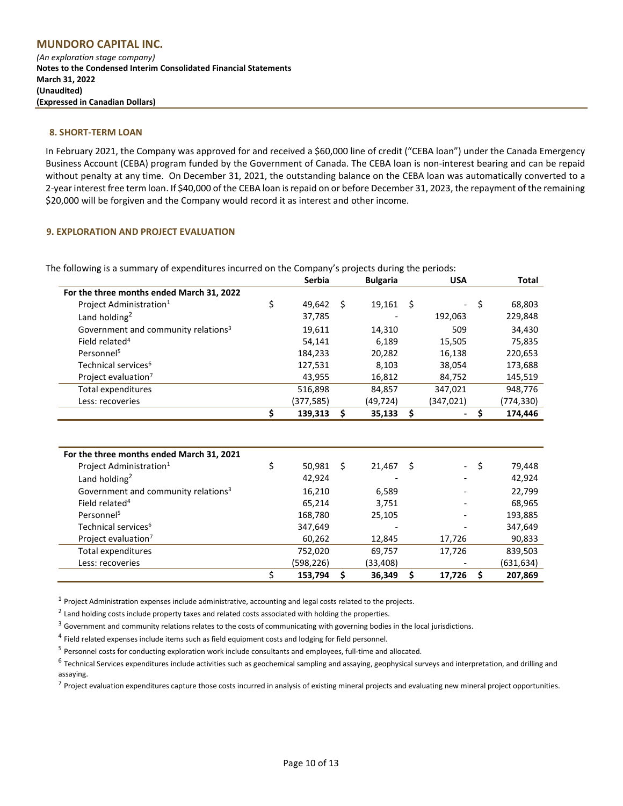### 8. SHORT-TERM LOAN

In February 2021, the Company was approved for and received a \$60,000 line of credit ("CEBA loan") under the Canada Emergency Business Account (CEBA) program funded by the Government of Canada. The CEBA loan is non-interest bearing and can be repaid without penalty at any time. On December 31, 2021, the outstanding balance on the CEBA loan was automatically converted to a 2-year interest free term loan. If \$40,000 of the CEBA loan is repaid on or before December 31, 2023, the repayment of the remaining \$20,000 will be forgiven and the Company would record it as interest and other income.

### 9. EXPLORATION AND PROJECT EVALUATION

The following is a summary of expenditures incurred on the Company's projects during the periods:

|                                                 | Serbia        |     | <b>Bulgaria</b> |     | <b>USA</b> | <b>Total</b>  |
|-------------------------------------------------|---------------|-----|-----------------|-----|------------|---------------|
| For the three months ended March 31, 2022       |               |     |                 |     |            |               |
| Project Administration <sup>1</sup>             | \$<br>49,642  | \$  | 19,161          | -\$ |            | \$<br>68,803  |
| Land holding <sup>2</sup>                       | 37,785        |     |                 |     | 192,063    | 229,848       |
| Government and community relations <sup>3</sup> | 19,611        |     | 14,310          |     | 509        | 34,430        |
| Field related <sup>4</sup>                      | 54,141        |     | 6,189           |     | 15,505     | 75,835        |
| Personnel <sup>5</sup>                          | 184,233       |     | 20,282          |     | 16,138     | 220,653       |
| Technical services <sup>6</sup>                 | 127,531       |     | 8,103           |     | 38,054     | 173,688       |
| Project evaluation <sup>7</sup>                 | 43,955        |     | 16,812          |     | 84,752     | 145,519       |
| <b>Total expenditures</b>                       | 516,898       |     | 84,857          |     | 347,021    | 948,776       |
| Less: recoveries                                | (377,585)     |     | (49, 724)       |     | (347, 021) | (774,330)     |
|                                                 | \$<br>139,313 | \$  | 35,133          | \$  |            | \$<br>174,446 |
| For the three months ended March 31, 2021       |               |     |                 |     |            |               |
| Project Administration <sup>1</sup>             | \$<br>50,981  | -\$ | 21,467          | \$  | $\sim$     | \$<br>79,448  |
| Land holding <sup>2</sup>                       | 42,924        |     |                 |     |            | 42,924        |
| Government and community relations <sup>3</sup> | 16,210        |     | 6,589           |     |            | 22,799        |
| Field related <sup>4</sup>                      | 65,214        |     | 3,751           |     |            | 68,965        |
| Personnel <sup>5</sup>                          | 168,780       |     | 25,105          |     |            | 193,885       |
| Technical services <sup>6</sup>                 | 347,649       |     |                 |     |            | 347,649       |
| Project evaluation <sup>7</sup>                 | 60,262        |     | 12,845          |     | 17,726     | 90,833        |
| <b>Total expenditures</b>                       | 752,020       |     | 69,757          |     | 17,726     | 839,503       |
| Less: recoveries                                | (598, 226)    |     | (33, 408)       |     |            | (631, 634)    |
|                                                 | \$<br>153,794 | \$  | 36,349          | \$  | 17,726     | \$<br>207,869 |

 $<sup>1</sup>$  Project Administration expenses include administrative, accounting and legal costs related to the projects.</sup>

 $2$  Land holding costs include property taxes and related costs associated with holding the properties.

 $3$  Government and community relations relates to the costs of communicating with governing bodies in the local jurisdictions.

<sup>4</sup> Field related expenses include items such as field equipment costs and lodging for field personnel.

<sup>5</sup> Personnel costs for conducting exploration work include consultants and employees, full-time and allocated.

 $6$  Technical Services expenditures include activities such as geochemical sampling and assaying, geophysical surveys and interpretation, and drilling and assaying.

 $<sup>7</sup>$  Project evaluation expenditures capture those costs incurred in analysis of existing mineral projects and evaluating new mineral project opportunities.</sup>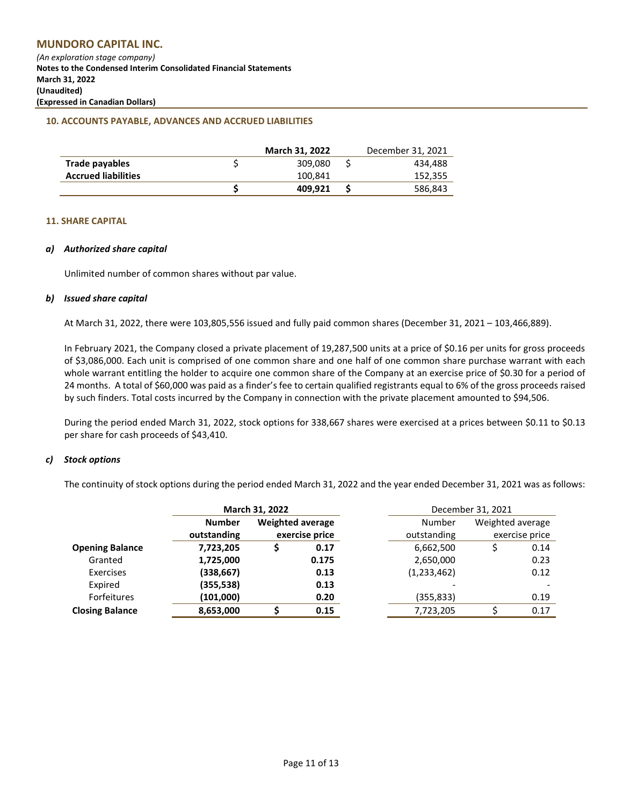### 10. ACCOUNTS PAYABLE, ADVANCES AND ACCRUED LIABILITIES

|                            | <b>March 31, 2022</b> | December 31, 2021 |
|----------------------------|-----------------------|-------------------|
| Trade payables             | 309.080               | 434.488           |
| <b>Accrued liabilities</b> | 100.841               | 152,355           |
|                            | 409.921               | 586,843           |

### 11. SHARE CAPITAL

### a) Authorized share capital

Unlimited number of common shares without par value.

### b) Issued share capital

At March 31, 2022, there were 103,805,556 issued and fully paid common shares (December 31, 2021 – 103,466,889).

In February 2021, the Company closed a private placement of 19,287,500 units at a price of \$0.16 per units for gross proceeds of \$3,086,000. Each unit is comprised of one common share and one half of one common share purchase warrant with each whole warrant entitling the holder to acquire one common share of the Company at an exercise price of \$0.30 for a period of 24 months. A total of \$60,000 was paid as a finder's fee to certain qualified registrants equal to 6% of the gross proceeds raised by such finders. Total costs incurred by the Company in connection with the private placement amounted to \$94,506.

During the period ended March 31, 2022, stock options for 338,667 shares were exercised at a prices between \$0.11 to \$0.13 per share for cash proceeds of \$43,410.

### c) Stock options

The continuity of stock options during the period ended March 31, 2022 and the year ended December 31, 2021 was as follows:

|                        |                              | <b>March 31, 2022</b>                     |       | December 31, 2021     |                                    |      |  |  |  |  |
|------------------------|------------------------------|-------------------------------------------|-------|-----------------------|------------------------------------|------|--|--|--|--|
|                        | <b>Number</b><br>outstanding | <b>Weighted average</b><br>exercise price |       | Number<br>outstanding | Weighted average<br>exercise price |      |  |  |  |  |
| <b>Opening Balance</b> | 7,723,205                    |                                           | 0.17  | 6,662,500             |                                    | 0.14 |  |  |  |  |
| Granted                | 1,725,000                    |                                           | 0.175 | 2,650,000             |                                    | 0.23 |  |  |  |  |
| Exercises              | (338, 667)                   |                                           | 0.13  | (1,233,462)           |                                    | 0.12 |  |  |  |  |
| Expired                | (355, 538)                   |                                           | 0.13  |                       |                                    |      |  |  |  |  |
| Forfeitures            | (101,000)                    |                                           | 0.20  | (355, 833)            |                                    | 0.19 |  |  |  |  |
| <b>Closing Balance</b> | 8,653,000                    |                                           | 0.15  | 7,723,205             |                                    | 0.17 |  |  |  |  |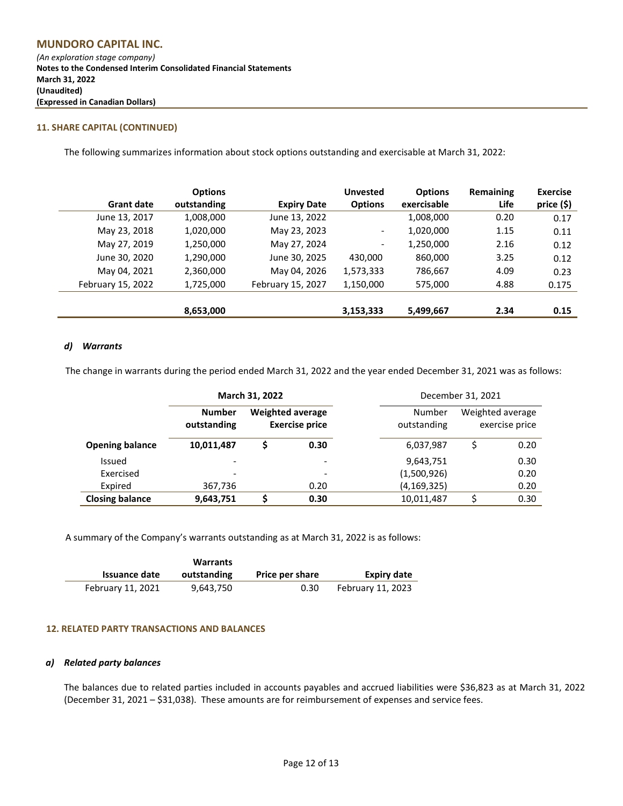### 11. SHARE CAPITAL (CONTINUED)

The following summarizes information about stock options outstanding and exercisable at March 31, 2022:

|                   | <b>Options</b> |                    | <b>Unvested</b> | <b>Options</b> | Remaining | <b>Exercise</b> |
|-------------------|----------------|--------------------|-----------------|----------------|-----------|-----------------|
| <b>Grant date</b> | outstanding    | <b>Expiry Date</b> | <b>Options</b>  | exercisable    | Life      | price (\$)      |
| June 13, 2017     | 1,008,000      | June 13, 2022      |                 | 1,008,000      | 0.20      | 0.17            |
| May 23, 2018      | 1,020,000      | May 23, 2023       | ۰.              | 1,020,000      | 1.15      | 0.11            |
| May 27, 2019      | 1,250,000      | May 27, 2024       | -               | 1,250,000      | 2.16      | 0.12            |
| June 30, 2020     | 1,290,000      | June 30, 2025      | 430,000         | 860,000        | 3.25      | 0.12            |
| May 04, 2021      | 2,360,000      | May 04, 2026       | 1,573,333       | 786,667        | 4.09      | 0.23            |
| February 15, 2022 | 1,725,000      | February 15, 2027  | 1,150,000       | 575,000        | 4.88      | 0.175           |
|                   |                |                    |                 |                |           |                 |
|                   | 8,653,000      |                    | 3,153,333       | 5,499,667      | 2.34      | 0.15            |

### d) Warrants

The change in warrants during the period ended March 31, 2022 and the year ended December 31, 2021 was as follows:

|                        | March 31, 2022               |                                                  |      |                       | December 31, 2021                  |      |  |  |  |
|------------------------|------------------------------|--------------------------------------------------|------|-----------------------|------------------------------------|------|--|--|--|
|                        | <b>Number</b><br>outstanding | <b>Weighted average</b><br><b>Exercise price</b> |      | Number<br>outstanding | Weighted average<br>exercise price |      |  |  |  |
| <b>Opening balance</b> | 10,011,487                   |                                                  | 0.30 | 6,037,987             | \$                                 | 0.20 |  |  |  |
| <b>Issued</b>          |                              |                                                  |      | 9,643,751             |                                    | 0.30 |  |  |  |
| Exercised              | -                            |                                                  |      | (1,500,926)           |                                    | 0.20 |  |  |  |
| Expired                | 367,736                      |                                                  | 0.20 | (4, 169, 325)         |                                    | 0.20 |  |  |  |
| <b>Closing balance</b> | 9,643,751                    |                                                  | 0.30 | 10,011,487            | c                                  | 0.30 |  |  |  |

A summary of the Company's warrants outstanding as at March 31, 2022 is as follows:

|                   | <b>Warrants</b> |                 |                   |
|-------------------|-----------------|-----------------|-------------------|
| Issuance date     | outstanding     | Price per share | Expiry date       |
| February 11, 2021 | 9,643,750       | 0.30            | February 11, 2023 |

### 12. RELATED PARTY TRANSACTIONS AND BALANCES

### a) Related party balances

The balances due to related parties included in accounts payables and accrued liabilities were \$36,823 as at March 31, 2022 (December 31, 2021 – \$31,038). These amounts are for reimbursement of expenses and service fees.